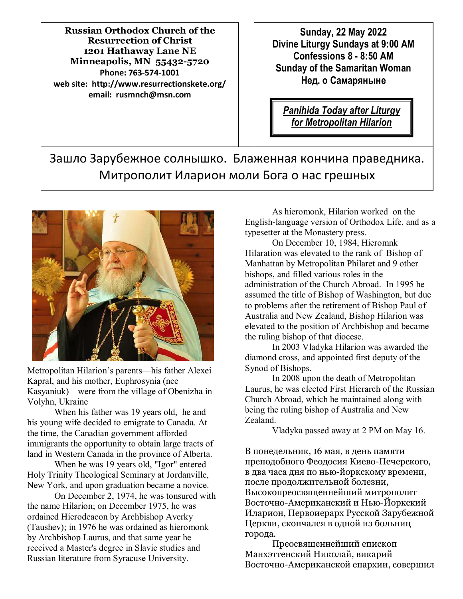**Russian Orthodox Church of the Resurrection of Christ 1201 Hathaway Lane NE Minneapolis, MN 55432-5720 Phone: 763-574-1001 web site: http://www.resurrectionskete.org/ email: rusmnch@msn.com**

**Sunday, 22 May 2022 Divine Liturgy Sundays at 9:00 AM Confessions 8 - 8:50 AM Sunday of the Samaritan Woman Нед. о Самаряныне** 

*Panihida Today after Liturgy for Metropolitan Hilarion*

Зашло Зарубежное солнышко. Блаженная кончина праведника. Митрополит Иларион моли Бога о нас грешных



Metropolitan Hilarion's parents—his father Alexei Kapral, and his mother, Euphrosynia (nee Kasyaniuk)—were from the village of Obenizha in Volyhn, Ukraine

 When his father was 19 years old, he and his young wife decided to emigrate to Canada. At the time, the Canadian government afforded immigrants the opportunity to obtain large tracts of land in Western Canada in the province of Alberta.

 When he was 19 years old, "Igor" entered Holy Trinity Theological Seminary at Jordanville, New York, and upon graduation became a novice.

 On December 2, 1974, he was tonsured with the name Hilarion; on December 1975, he was ordained Hierodeacon by Archbishop Averky (Taushev); in 1976 he was ordained as hieromonk by Archbishop Laurus, and that same year he received a Master's degree in Slavic studies and Russian literature from Syracuse University.

 As hieromonk, Hilarion worked on the English-language version of Orthodox Life, and as a typesetter at the Monastery press.

 On December 10, 1984, Hieromnk Hilaration was elevated to the rank of Bishop of Manhattan by Metropolitan Philaret and 9 other bishops, and filled various roles in the administration of the Church Abroad. In 1995 he assumed the title of Bishop of Washington, but due to problems after the retirement of Bishop Paul of Australia and New Zealand, Bishop Hilarion was elevated to the position of Archbishop and became the ruling bishop of that diocese.

 In 2003 Vladyka Hilarion was awarded the diamond cross, and appointed first deputy of the Synod of Bishops.

 In 2008 upon the death of Metropolitan Laurus, he was elected First Hierarch of the Russian Church Abroad, which he maintained along with being the ruling bishop of Australia and New Zealand.

Vladyka passed away at 2 PM on May 16.

В понедельник, 16 мая, в день памяти преподобного Феодосия Киево-Печерского, в два часа дня по нью-йоркскому времени, после продолжительной болезни, Высокопреосвященнейший митрополит Восточно-Американский и Нью-Йоркский Иларион, Первоиерарх Русской Зарубежной Церкви, скончался в одной из больниц города.

 Преосвященнейший епископ Манхэттенский Николай, викарий Восточно-Американской епархии, совершил